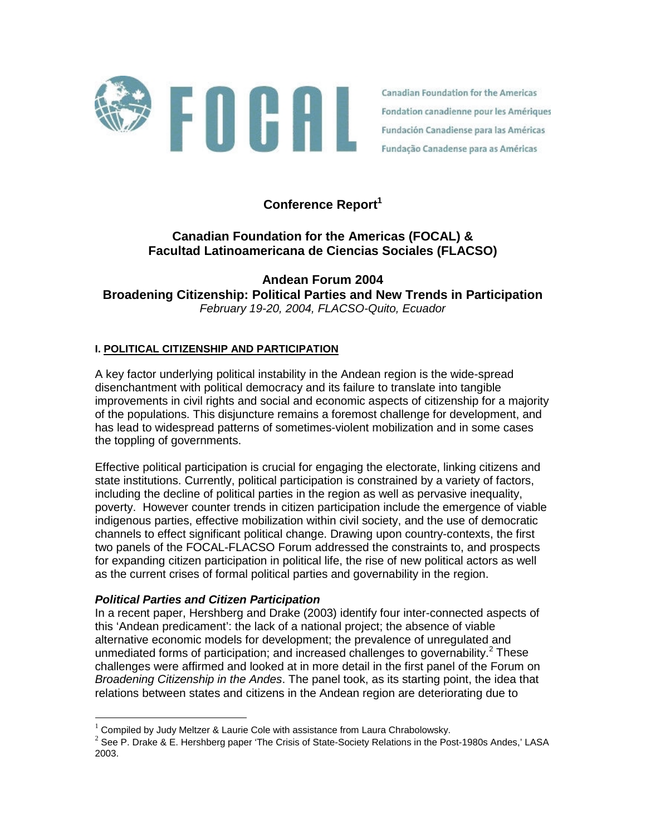

Canadian Foundation for the Americas Fondation canadienne pour les Amériques Fundación Canadiense para las Américas Fundação Canadense para as Américas

# Conference Report<sup>1</sup>

# **Canadian Foundation for the Americas (FOCAL) & Facultad Latinoamericana de Ciencias Sociales (FLACSO)**

**Andean Forum 2004 Broadening Citizenship: Political Parties and New Trends in Participation**  *February 19-20, 2004, FLACSO-Quito, Ecuador* 

### **I. POLITICAL CITIZENSHIP AND PARTICIPATION**

A key factor underlying political instability in the Andean region is the wide-spread disenchantment with political democracy and its failure to translate into tangible improvements in civil rights and social and economic aspects of citizenship for a majority of the populations. This disjuncture remains a foremost challenge for development, and has lead to widespread patterns of sometimes-violent mobilization and in some cases the toppling of governments.

Effective political participation is crucial for engaging the electorate, linking citizens and state institutions. Currently, political participation is constrained by a variety of factors, including the decline of political parties in the region as well as pervasive inequality, poverty. However counter trends in citizen participation include the emergence of viable indigenous parties, effective mobilization within civil society, and the use of democratic channels to effect significant political change. Drawing upon country-contexts, the first two panels of the FOCAL-FLACSO Forum addressed the constraints to, and prospects for expanding citizen participation in political life, the rise of new political actors as well as the current crises of formal political parties and governability in the region.

### *Political Parties and Citizen Participation*

 $\overline{a}$ 

In a recent paper, Hershberg and Drake (2003) identify four inter-connected aspects of this 'Andean predicament': the lack of a national project; the absence of viable alternative economic models for development; the prevalence of unregulated and unmediated forms of participation; and increased challenges to governability.<sup>2</sup> These challenges were affirmed and looked at in more detail in the first panel of the Forum on *Broadening Citizenship in the Andes*. The panel took, as its starting point, the idea that relations between states and citizens in the Andean region are deteriorating due to

 $1$  Compiled by Judy Meltzer & Laurie Cole with assistance from Laura Chrabolowsky.

 $^{2}$  See P. Drake & E. Hershberg paper 'The Crisis of State-Society Relations in the Post-1980s Andes,' LASA 2003.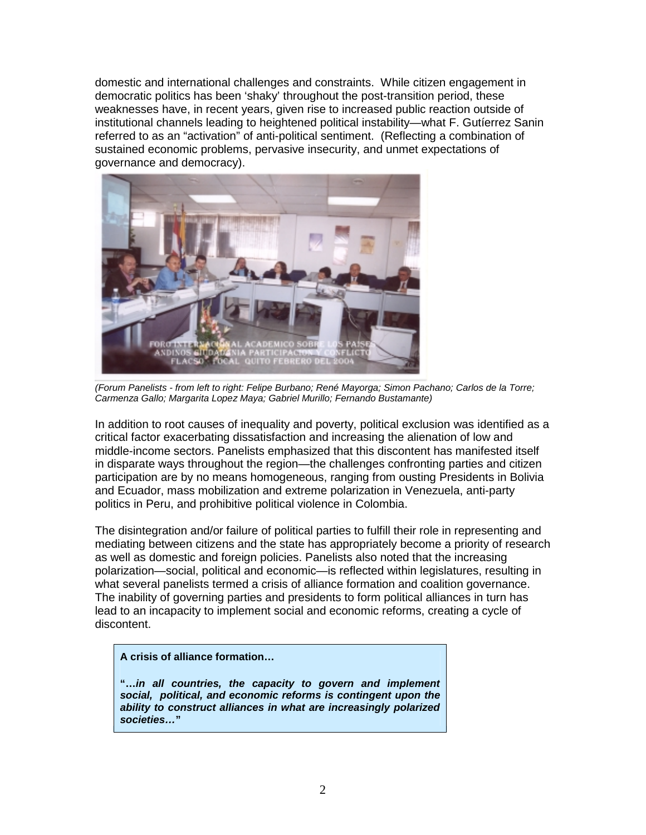domestic and international challenges and constraints. While citizen engagement in democratic politics has been 'shaky' throughout the post-transition period, these weaknesses have, in recent years, given rise to increased public reaction outside of institutional channels leading to heightened political instability—what F. Gutíerrez Sanin referred to as an "activation" of anti-political sentiment. (Reflecting a combination of sustained economic problems, pervasive insecurity, and unmet expectations of governance and democracy).



*(Forum Panelists - from left to right: Felipe Burbano; René Mayorga; Simon Pachano; Carlos de la Torre; Carmenza Gallo; Margarita Lopez Maya; Gabriel Murillo; Fernando Bustamante)* 

In addition to root causes of inequality and poverty, political exclusion was identified as a critical factor exacerbating dissatisfaction and increasing the alienation of low and middle-income sectors. Panelists emphasized that this discontent has manifested itself in disparate ways throughout the region—the challenges confronting parties and citizen participation are by no means homogeneous, ranging from ousting Presidents in Bolivia and Ecuador, mass mobilization and extreme polarization in Venezuela, anti-party politics in Peru, and prohibitive political violence in Colombia.

The disintegration and/or failure of political parties to fulfill their role in representing and mediating between citizens and the state has appropriately become a priority of research as well as domestic and foreign policies. Panelists also noted that the increasing polarization—social, political and economic—is reflected within legislatures, resulting in what several panelists termed a crisis of alliance formation and coalition governance. The inability of governing parties and presidents to form political alliances in turn has lead to an incapacity to implement social and economic reforms, creating a cycle of discontent.

**A crisis of alliance formation…** 

**"…***in all countries, the capacity to govern and implement social, political, and economic reforms is contingent upon the ability to construct alliances in what are increasingly polarized societies…***"**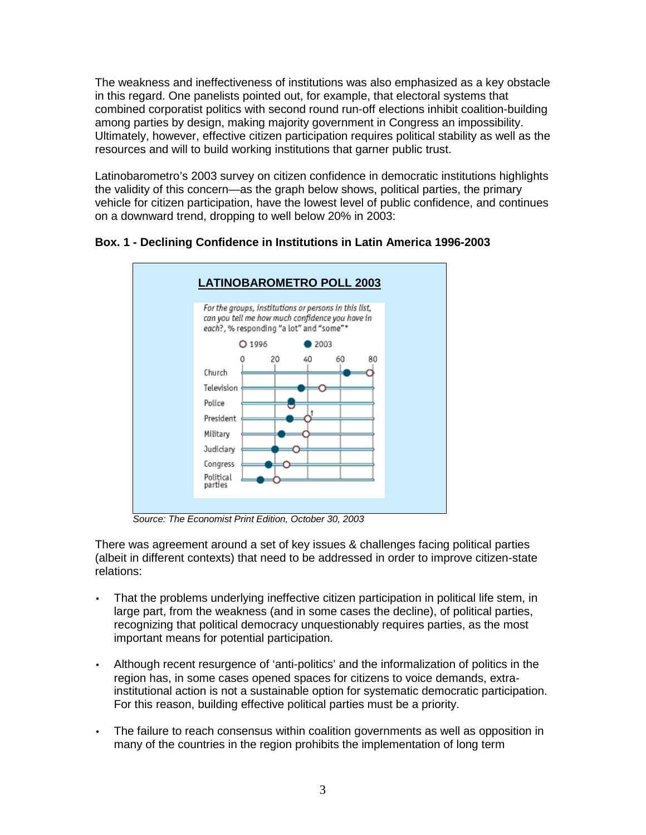The weakness and ineffectiveness of institutions was also emphasized as a key obstacle in this regard. One panelists pointed out, for example, that electoral systems that combined corporatist politics with second round run-off elections inhibit coalition-building among parties by design, making majority government in Congress an impossibility. Ultimately, however, effective citizen participation requires political stability as well as the resources and will to build working institutions that garner public trust.

Latinobarometro's 2003 survey on citizen confidence in democratic institutions highlights the validity of this concern—as the graph below shows, political parties, the primary vehicle for citizen participation, have the lowest level of public confidence, and continues on a downward trend, dropping to well below 20% in 2003:



**Box. 1 - Declining Confidence in Institutions in Latin America 1996-2003** 

*Source: The Economist Print Edition, October 30, 2003* 

There was agreement around a set of key issues & challenges facing political parties (albeit in different contexts) that need to be addressed in order to improve citizen-state relations:

- That the problems underlying ineffective citizen participation in political life stem, in large part, from the weakness (and in some cases the decline), of political parties, recognizing that political democracy unquestionably requires parties, as the most important means for potential participation.
- Although recent resurgence of 'anti-politics' and the informalization of politics in the region has, in some cases opened spaces for citizens to voice demands, extrainstitutional action is not a sustainable option for systematic democratic participation. For this reason, building effective political parties must be a priority.
- The failure to reach consensus within coalition governments as well as opposition in many of the countries in the region prohibits the implementation of long term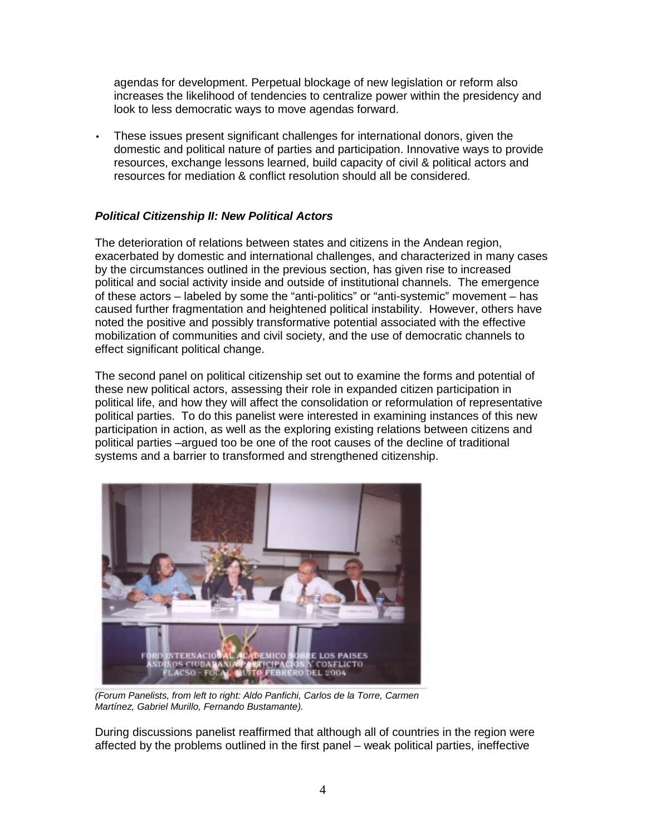agendas for development. Perpetual blockage of new legislation or reform also increases the likelihood of tendencies to centralize power within the presidency and look to less democratic ways to move agendas forward.

• These issues present significant challenges for international donors, given the domestic and political nature of parties and participation. Innovative ways to provide resources, exchange lessons learned, build capacity of civil & political actors and resources for mediation & conflict resolution should all be considered.

# *Political Citizenship II: New Political Actors*

The deterioration of relations between states and citizens in the Andean region, exacerbated by domestic and international challenges, and characterized in many cases by the circumstances outlined in the previous section, has given rise to increased political and social activity inside and outside of institutional channels. The emergence of these actors – labeled by some the "anti-politics" or "anti-systemic" movement – has caused further fragmentation and heightened political instability. However, others have noted the positive and possibly transformative potential associated with the effective mobilization of communities and civil society, and the use of democratic channels to effect significant political change.

The second panel on political citizenship set out to examine the forms and potential of these new political actors, assessing their role in expanded citizen participation in political life, and how they will affect the consolidation or reformulation of representative political parties. To do this panelist were interested in examining instances of this new participation in action, as well as the exploring existing relations between citizens and political parties –argued too be one of the root causes of the decline of traditional systems and a barrier to transformed and strengthened citizenship.



*(Forum Panelists, from left to right: Aldo Panfichi, Carlos de la Torre, Carmen Martínez, Gabriel Murillo, Fernando Bustamante).* 

During discussions panelist reaffirmed that although all of countries in the region were affected by the problems outlined in the first panel – weak political parties, ineffective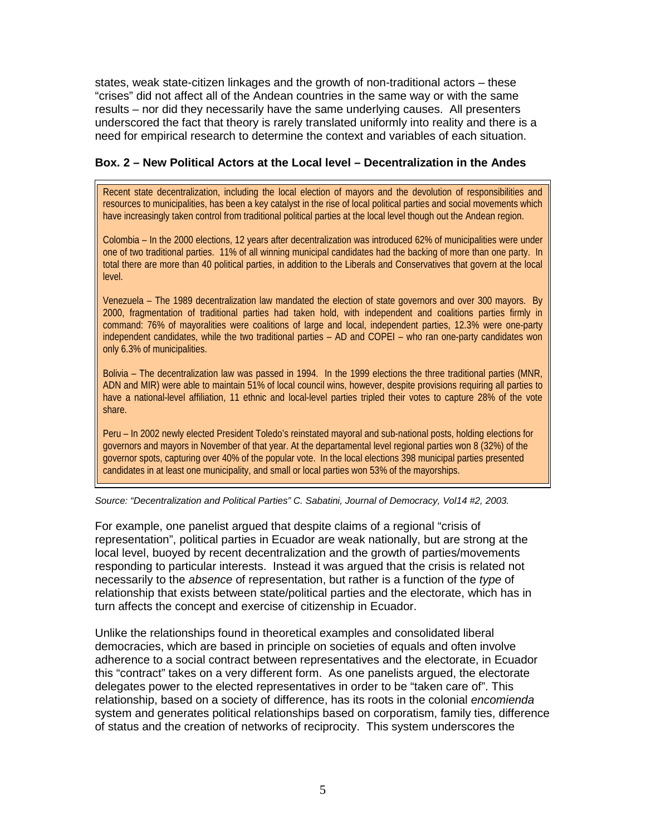states, weak state-citizen linkages and the growth of non-traditional actors – these "crises" did not affect all of the Andean countries in the same way or with the same results – nor did they necessarily have the same underlying causes. All presenters underscored the fact that theory is rarely translated uniformly into reality and there is a need for empirical research to determine the context and variables of each situation.

### **Box. 2 – New Political Actors at the Local level – Decentralization in the Andes**

Recent state decentralization, including the local election of mayors and the devolution of responsibilities and resources to municipalities, has been a key catalyst in the rise of local political parties and social movements which have increasingly taken control from traditional political parties at the local level though out the Andean region.

Colombia – In the 2000 elections, 12 years after decentralization was introduced 62% of municipalities were under one of two traditional parties. 11% of all winning municipal candidates had the backing of more than one party. In total there are more than 40 political parties, in addition to the Liberals and Conservatives that govern at the local level.

Venezuela – The 1989 decentralization law mandated the election of state governors and over 300 mayors. By 2000, fragmentation of traditional parties had taken hold, with independent and coalitions parties firmly in command: 76% of mayoralities were coalitions of large and local, independent parties, 12.3% were one-party independent candidates, while the two traditional parties – AD and COPEI – who ran one-party candidates won only 6.3% of municipalities.

Bolivia – The decentralization law was passed in 1994. In the 1999 elections the three traditional parties (MNR, ADN and MIR) were able to maintain 51% of local council wins, however, despite provisions requiring all parties to have a national-level affiliation, 11 ethnic and local-level parties tripled their votes to capture 28% of the vote share.

Peru – In 2002 newly elected President Toledo's reinstated mayoral and sub-national posts, holding elections for governors and mayors in November of that year. At the departamental level regional parties won 8 (32%) of the governor spots, capturing over 40% of the popular vote. In the local elections 398 municipal parties presented candidates in at least one municipality, and small or local parties won 53% of the mayorships.

*Source: "Decentralization and Political Parties" C. Sabatini, Journal of Democracy, Vol14 #2, 2003.* 

For example, one panelist argued that despite claims of a regional "crisis of representation", political parties in Ecuador are weak nationally, but are strong at the local level, buoyed by recent decentralization and the growth of parties/movements responding to particular interests. Instead it was argued that the crisis is related not necessarily to the *absence* of representation, but rather is a function of the *type* of relationship that exists between state/political parties and the electorate, which has in turn affects the concept and exercise of citizenship in Ecuador.

Unlike the relationships found in theoretical examples and consolidated liberal democracies, which are based in principle on societies of equals and often involve adherence to a social contract between representatives and the electorate, in Ecuador this "contract" takes on a very different form. As one panelists argued, the electorate delegates power to the elected representatives in order to be "taken care of". This relationship, based on a society of difference, has its roots in the colonial *encomienda* system and generates political relationships based on corporatism, family ties, difference of status and the creation of networks of reciprocity. This system underscores the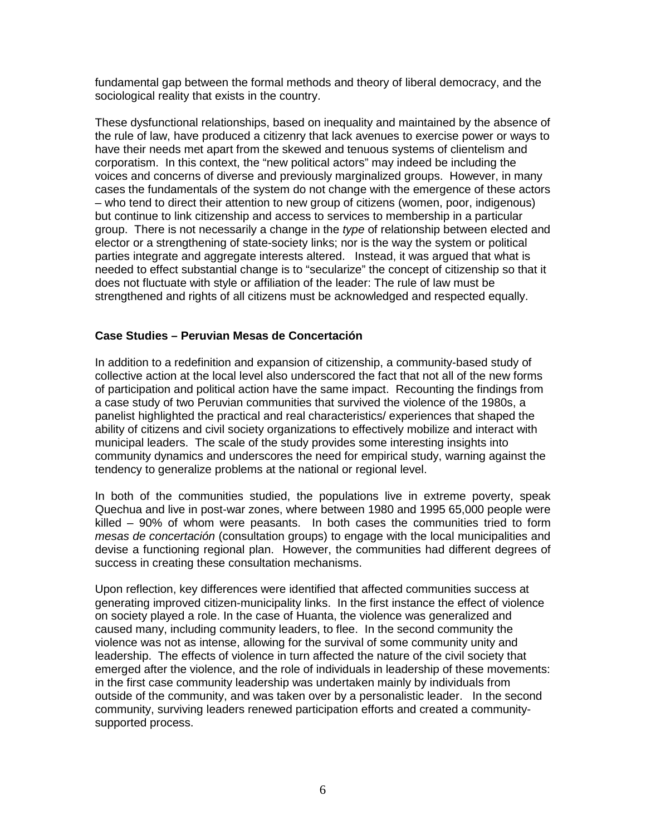fundamental gap between the formal methods and theory of liberal democracy, and the sociological reality that exists in the country.

These dysfunctional relationships, based on inequality and maintained by the absence of the rule of law, have produced a citizenry that lack avenues to exercise power or ways to have their needs met apart from the skewed and tenuous systems of clientelism and corporatism. In this context, the "new political actors" may indeed be including the voices and concerns of diverse and previously marginalized groups. However, in many cases the fundamentals of the system do not change with the emergence of these actors – who tend to direct their attention to new group of citizens (women, poor, indigenous) but continue to link citizenship and access to services to membership in a particular group. There is not necessarily a change in the *type* of relationship between elected and elector or a strengthening of state-society links; nor is the way the system or political parties integrate and aggregate interests altered. Instead, it was argued that what is needed to effect substantial change is to "secularize" the concept of citizenship so that it does not fluctuate with style or affiliation of the leader: The rule of law must be strengthened and rights of all citizens must be acknowledged and respected equally.

### **Case Studies – Peruvian Mesas de Concertación**

In addition to a redefinition and expansion of citizenship, a community-based study of collective action at the local level also underscored the fact that not all of the new forms of participation and political action have the same impact. Recounting the findings from a case study of two Peruvian communities that survived the violence of the 1980s, a panelist highlighted the practical and real characteristics/ experiences that shaped the ability of citizens and civil society organizations to effectively mobilize and interact with municipal leaders. The scale of the study provides some interesting insights into community dynamics and underscores the need for empirical study, warning against the tendency to generalize problems at the national or regional level.

In both of the communities studied, the populations live in extreme poverty, speak Quechua and live in post-war zones, where between 1980 and 1995 65,000 people were killed – 90% of whom were peasants. In both cases the communities tried to form *mesas de concertación* (consultation groups) to engage with the local municipalities and devise a functioning regional plan. However, the communities had different degrees of success in creating these consultation mechanisms.

Upon reflection, key differences were identified that affected communities success at generating improved citizen-municipality links. In the first instance the effect of violence on society played a role. In the case of Huanta, the violence was generalized and caused many, including community leaders, to flee. In the second community the violence was not as intense, allowing for the survival of some community unity and leadership. The effects of violence in turn affected the nature of the civil society that emerged after the violence, and the role of individuals in leadership of these movements: in the first case community leadership was undertaken mainly by individuals from outside of the community, and was taken over by a personalistic leader. In the second community, surviving leaders renewed participation efforts and created a communitysupported process.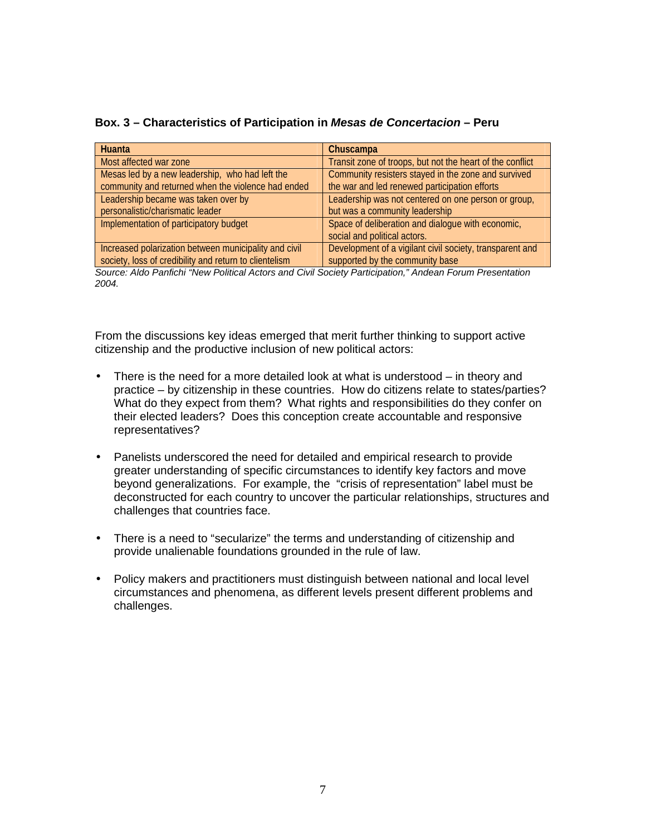| Huanta                                                                                                   | Chuscampa                                                 |  |  |  |
|----------------------------------------------------------------------------------------------------------|-----------------------------------------------------------|--|--|--|
| Most affected war zone                                                                                   | Transit zone of troops, but not the heart of the conflict |  |  |  |
| Mesas led by a new leadership, who had left the                                                          | Community resisters stayed in the zone and survived       |  |  |  |
| community and returned when the violence had ended                                                       | the war and led renewed participation efforts             |  |  |  |
| Leadership became was taken over by                                                                      | Leadership was not centered on one person or group,       |  |  |  |
| personalistic/charismatic leader                                                                         | but was a community leadership                            |  |  |  |
| Implementation of participatory budget                                                                   | Space of deliberation and dialogue with economic,         |  |  |  |
|                                                                                                          | social and political actors.                              |  |  |  |
| Increased polarization between municipality and civil                                                    | Development of a vigilant civil society, transparent and  |  |  |  |
| society, loss of credibility and return to clientelism                                                   | supported by the community base                           |  |  |  |
| Oraniza Alde Dentiski (Alem Delitzel Astene en d'Obil Oraist, Dentsin etter Il Andren Femme Ducesntetten |                                                           |  |  |  |

### **Box. 3 – Characteristics of Participation in** *Mesas de Concertacion* **– Peru**

*Source: Aldo Panfichi "New Political Actors and Civil Society Participation," Andean Forum Presentation 2004.* 

From the discussions key ideas emerged that merit further thinking to support active citizenship and the productive inclusion of new political actors:

- There is the need for a more detailed look at what is understood  $-$  in theory and practice – by citizenship in these countries. How do citizens relate to states/parties? What do they expect from them? What rights and responsibilities do they confer on their elected leaders? Does this conception create accountable and responsive representatives?
- Panelists underscored the need for detailed and empirical research to provide greater understanding of specific circumstances to identify key factors and move beyond generalizations. For example, the "crisis of representation" label must be deconstructed for each country to uncover the particular relationships, structures and challenges that countries face.
- There is a need to "secularize" the terms and understanding of citizenship and provide unalienable foundations grounded in the rule of law.
- Policy makers and practitioners must distinguish between national and local level circumstances and phenomena, as different levels present different problems and challenges.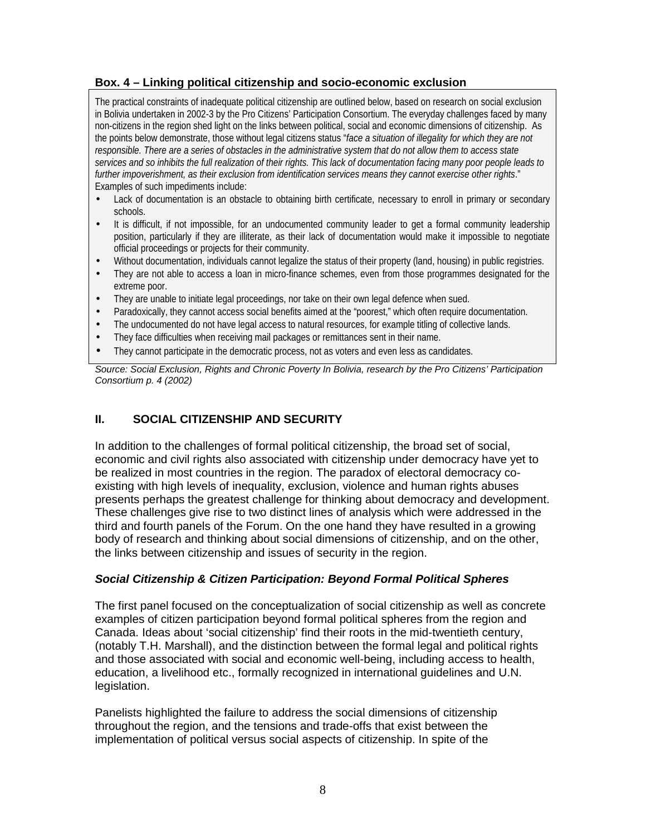## **Box. 4 – Linking political citizenship and socio-economic exclusion**

The practical constraints of inadequate political citizenship are outlined below, based on research on social exclusion in Bolivia undertaken in 2002-3 by the Pro Citizens' Participation Consortium. The everyday challenges faced by many non-citizens in the region shed light on the links between political, social and economic dimensions of citizenship. As the points below demonstrate, those without legal citizens status "*face a situation of illegality for which they are not responsible. There are a series of obstacles in the administrative system that do not allow them to access state services and so inhibits the full realization of their rights. This lack of documentation facing many poor people leads to further impoverishment, as their exclusion from identification services means they cannot exercise other rights*." Examples of such impediments include:

- Lack of documentation is an obstacle to obtaining birth certificate, necessary to enroll in primary or secondary schools.
- It is difficult, if not impossible, for an undocumented community leader to get a formal community leadership position, particularly if they are illiterate, as their lack of documentation would make it impossible to negotiate official proceedings or projects for their community.
- Without documentation, individuals cannot legalize the status of their property (land, housing) in public registries.
- They are not able to access a loan in micro-finance schemes, even from those programmes designated for the extreme poor.
- They are unable to initiate legal proceedings, nor take on their own legal defence when sued.
- Paradoxically, they cannot access social benefits aimed at the "poorest," which often require documentation.
- The undocumented do not have legal access to natural resources, for example titling of collective lands.
- They face difficulties when receiving mail packages or remittances sent in their name.
- They cannot participate in the democratic process, not as voters and even less as candidates.

*Source: Social Exclusion, Rights and Chronic Poverty In Bolivia, research by the Pro Citizens' Participation Consortium p. 4 (2002)* 

# **II. SOCIAL CITIZENSHIP AND SECURITY**

In addition to the challenges of formal political citizenship, the broad set of social, economic and civil rights also associated with citizenship under democracy have yet to be realized in most countries in the region. The paradox of electoral democracy coexisting with high levels of inequality, exclusion, violence and human rights abuses presents perhaps the greatest challenge for thinking about democracy and development. These challenges give rise to two distinct lines of analysis which were addressed in the third and fourth panels of the Forum. On the one hand they have resulted in a growing body of research and thinking about social dimensions of citizenship, and on the other, the links between citizenship and issues of security in the region.

### *Social Citizenship & Citizen Participation: Beyond Formal Political Spheres*

The first panel focused on the conceptualization of social citizenship as well as concrete examples of citizen participation beyond formal political spheres from the region and Canada. Ideas about 'social citizenship' find their roots in the mid-twentieth century, (notably T.H. Marshall), and the distinction between the formal legal and political rights and those associated with social and economic well-being, including access to health, education, a livelihood etc., formally recognized in international guidelines and U.N. legislation.

Panelists highlighted the failure to address the social dimensions of citizenship throughout the region, and the tensions and trade-offs that exist between the implementation of political versus social aspects of citizenship. In spite of the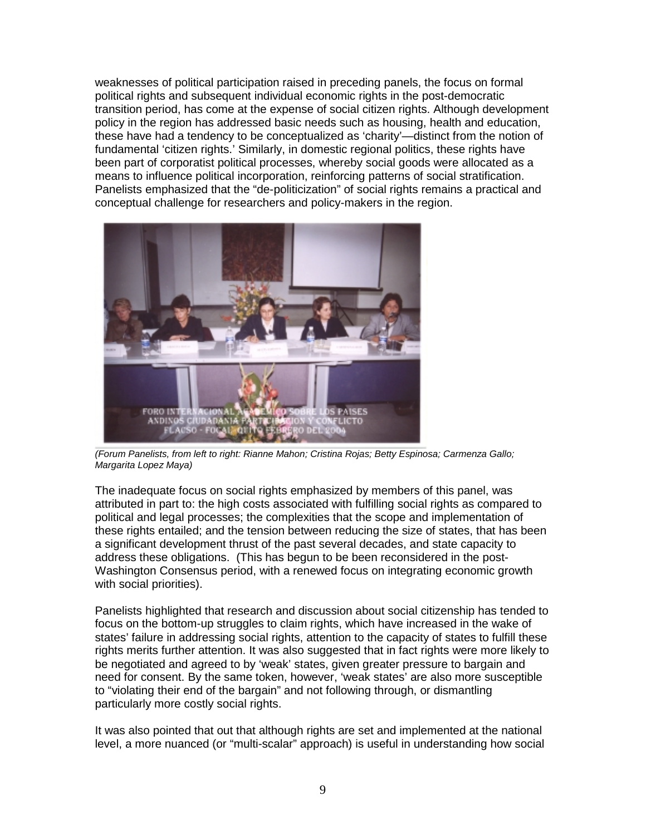weaknesses of political participation raised in preceding panels, the focus on formal political rights and subsequent individual economic rights in the post-democratic transition period, has come at the expense of social citizen rights. Although development policy in the region has addressed basic needs such as housing, health and education, these have had a tendency to be conceptualized as 'charity'—distinct from the notion of fundamental 'citizen rights.' Similarly, in domestic regional politics, these rights have been part of corporatist political processes, whereby social goods were allocated as a means to influence political incorporation, reinforcing patterns of social stratification. Panelists emphasized that the "de-politicization" of social rights remains a practical and conceptual challenge for researchers and policy-makers in the region.



*(Forum Panelists, from left to right: Rianne Mahon; Cristina Rojas; Betty Espinosa; Carmenza Gallo; Margarita Lopez Maya)* 

The inadequate focus on social rights emphasized by members of this panel, was attributed in part to: the high costs associated with fulfilling social rights as compared to political and legal processes; the complexities that the scope and implementation of these rights entailed; and the tension between reducing the size of states, that has been a significant development thrust of the past several decades, and state capacity to address these obligations. (This has begun to be been reconsidered in the post-Washington Consensus period, with a renewed focus on integrating economic growth with social priorities).

Panelists highlighted that research and discussion about social citizenship has tended to focus on the bottom-up struggles to claim rights, which have increased in the wake of states' failure in addressing social rights, attention to the capacity of states to fulfill these rights merits further attention. It was also suggested that in fact rights were more likely to be negotiated and agreed to by 'weak' states, given greater pressure to bargain and need for consent. By the same token, however, 'weak states' are also more susceptible to "violating their end of the bargain" and not following through, or dismantling particularly more costly social rights.

It was also pointed that out that although rights are set and implemented at the national level, a more nuanced (or "multi-scalar" approach) is useful in understanding how social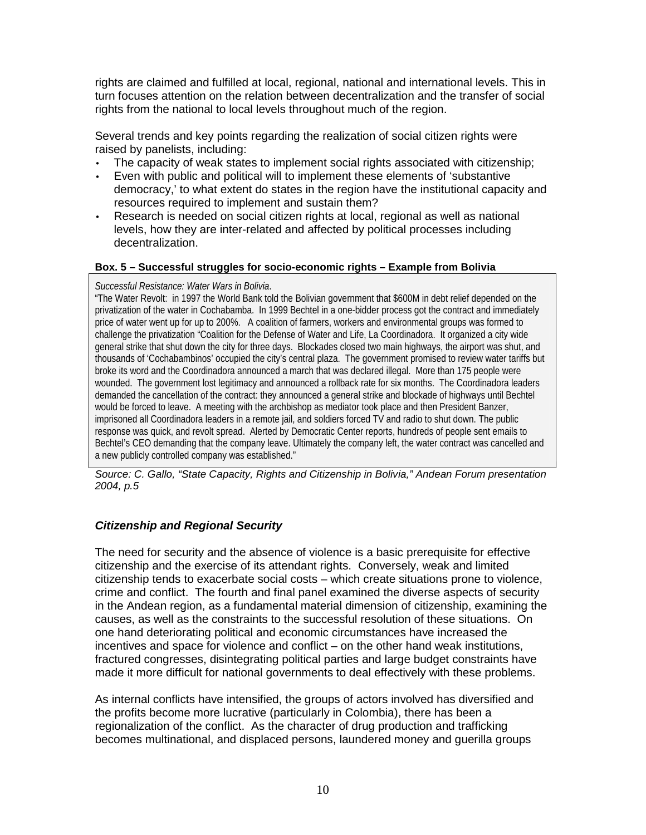rights are claimed and fulfilled at local, regional, national and international levels. This in turn focuses attention on the relation between decentralization and the transfer of social rights from the national to local levels throughout much of the region.

Several trends and key points regarding the realization of social citizen rights were raised by panelists, including:

- The capacity of weak states to implement social rights associated with citizenship;
- Even with public and political will to implement these elements of 'substantive democracy,' to what extent do states in the region have the institutional capacity and resources required to implement and sustain them?
- Research is needed on social citizen rights at local, regional as well as national levels, how they are inter-related and affected by political processes including decentralization.

### **Box. 5 – Successful struggles for socio-economic rights – Example from Bolivia**

### *Successful Resistance: Water Wars in Bolivia*.

"The Water Revolt: in 1997 the World Bank told the Bolivian government that \$600M in debt relief depended on the privatization of the water in Cochabamba. In 1999 Bechtel in a one-bidder process got the contract and immediately price of water went up for up to 200%. A coalition of farmers, workers and environmental groups was formed to challenge the privatization "Coalition for the Defense of Water and Life, La Coordinadora. It organized a city wide general strike that shut down the city for three days. Blockades closed two main highways, the airport was shut, and thousands of 'Cochabambinos' occupied the city's central plaza. The government promised to review water tariffs but broke its word and the Coordinadora announced a march that was declared illegal. More than 175 people were wounded. The government lost legitimacy and announced a rollback rate for six months. The Coordinadora leaders demanded the cancellation of the contract: they announced a general strike and blockade of highways until Bechtel would be forced to leave. A meeting with the archbishop as mediator took place and then President Banzer, imprisoned all Coordinadora leaders in a remote jail, and soldiers forced TV and radio to shut down. The public response was quick, and revolt spread. Alerted by Democratic Center reports, hundreds of people sent emails to Bechtel's CEO demanding that the company leave. Ultimately the company left, the water contract was cancelled and a new publicly controlled company was established."

*Source: C. Gallo, "State Capacity, Rights and Citizenship in Bolivia," Andean Forum presentation 2004, p.5*

### *Citizenship and Regional Security*

The need for security and the absence of violence is a basic prerequisite for effective citizenship and the exercise of its attendant rights. Conversely, weak and limited citizenship tends to exacerbate social costs – which create situations prone to violence, crime and conflict. The fourth and final panel examined the diverse aspects of security in the Andean region, as a fundamental material dimension of citizenship, examining the causes, as well as the constraints to the successful resolution of these situations. On one hand deteriorating political and economic circumstances have increased the incentives and space for violence and conflict – on the other hand weak institutions, fractured congresses, disintegrating political parties and large budget constraints have made it more difficult for national governments to deal effectively with these problems.

As internal conflicts have intensified, the groups of actors involved has diversified and the profits become more lucrative (particularly in Colombia), there has been a regionalization of the conflict. As the character of drug production and trafficking becomes multinational, and displaced persons, laundered money and guerilla groups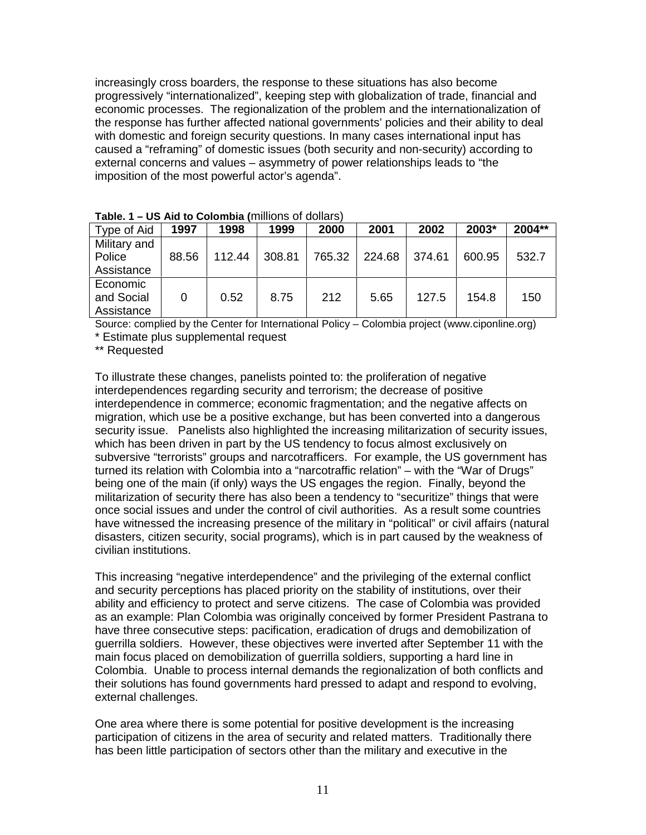increasingly cross boarders, the response to these situations has also become progressively "internationalized", keeping step with globalization of trade, financial and economic processes. The regionalization of the problem and the internationalization of the response has further affected national governments' policies and their ability to deal with domestic and foreign security questions. In many cases international input has caused a "reframing" of domestic issues (both security and non-security) according to external concerns and values – asymmetry of power relationships leads to "the imposition of the most powerful actor's agenda".

| <b>Table. I</b> $\equiv$ 03 Alu to Colombia (Thinoris of Goliars) |       |        |        |        |        |        |        |        |
|-------------------------------------------------------------------|-------|--------|--------|--------|--------|--------|--------|--------|
| Type of Aid                                                       | 1997  | 1998   | 1999   | 2000   | 2001   | 2002   | 2003*  | 2004** |
| Military and                                                      |       |        |        |        |        |        |        |        |
| Police                                                            | 88.56 | 112.44 | 308.81 | 765.32 | 224.68 | 374.61 | 600.95 | 532.7  |
| Assistance                                                        |       |        |        |        |        |        |        |        |
| Economic                                                          |       |        |        |        |        |        |        |        |
| and Social                                                        | 0     | 0.52   | 8.75   | 212    | 5.65   | 127.5  | 154.8  | 150    |
| Assistance                                                        |       |        |        |        |        |        |        |        |

**Table. 1 – US Aid to Colombia (**millions of dollars)

Source: complied by the Center for International Policy – Colombia project (www.ciponline.org)

\* Estimate plus supplemental request

\*\* Requested

To illustrate these changes, panelists pointed to: the proliferation of negative interdependences regarding security and terrorism; the decrease of positive interdependence in commerce; economic fragmentation; and the negative affects on migration, which use be a positive exchange, but has been converted into a dangerous security issue. Panelists also highlighted the increasing militarization of security issues, which has been driven in part by the US tendency to focus almost exclusively on subversive "terrorists" groups and narcotrafficers. For example, the US government has turned its relation with Colombia into a "narcotraffic relation" – with the "War of Drugs" being one of the main (if only) ways the US engages the region. Finally, beyond the militarization of security there has also been a tendency to "securitize" things that were once social issues and under the control of civil authorities. As a result some countries have witnessed the increasing presence of the military in "political" or civil affairs (natural disasters, citizen security, social programs), which is in part caused by the weakness of civilian institutions.

This increasing "negative interdependence" and the privileging of the external conflict and security perceptions has placed priority on the stability of institutions, over their ability and efficiency to protect and serve citizens. The case of Colombia was provided as an example: Plan Colombia was originally conceived by former President Pastrana to have three consecutive steps: pacification, eradication of drugs and demobilization of guerrilla soldiers. However, these objectives were inverted after September 11 with the main focus placed on demobilization of guerrilla soldiers, supporting a hard line in Colombia. Unable to process internal demands the regionalization of both conflicts and their solutions has found governments hard pressed to adapt and respond to evolving, external challenges.

One area where there is some potential for positive development is the increasing participation of citizens in the area of security and related matters. Traditionally there has been little participation of sectors other than the military and executive in the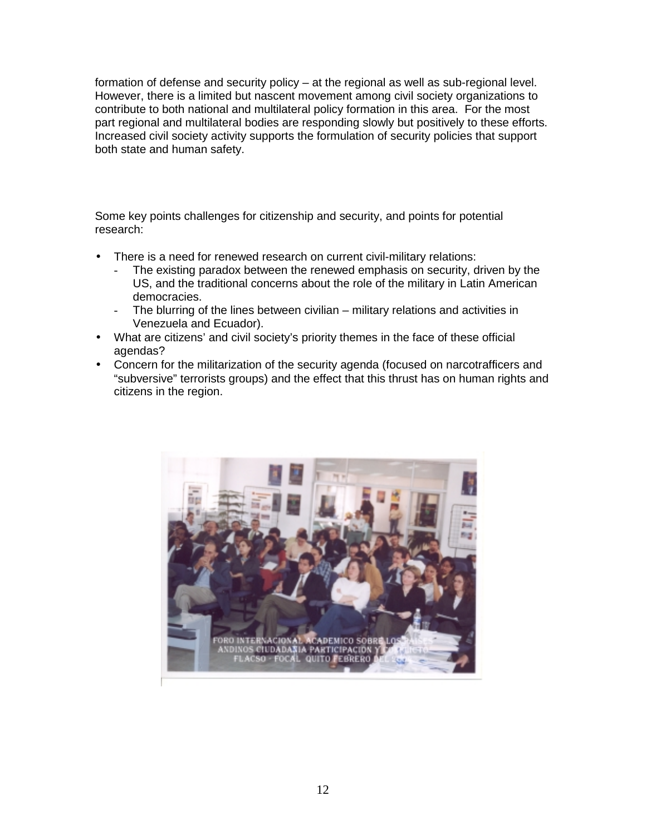formation of defense and security policy – at the regional as well as sub-regional level. However, there is a limited but nascent movement among civil society organizations to contribute to both national and multilateral policy formation in this area. For the most part regional and multilateral bodies are responding slowly but positively to these efforts. Increased civil society activity supports the formulation of security policies that support both state and human safety.

Some key points challenges for citizenship and security, and points for potential research:

- There is a need for renewed research on current civil-military relations:
	- The existing paradox between the renewed emphasis on security, driven by the US, and the traditional concerns about the role of the military in Latin American democracies.
	- The blurring of the lines between civilian military relations and activities in Venezuela and Ecuador).
- What are citizens' and civil society's priority themes in the face of these official agendas?
- Concern for the militarization of the security agenda (focused on narcotrafficers and "subversive" terrorists groups) and the effect that this thrust has on human rights and citizens in the region.

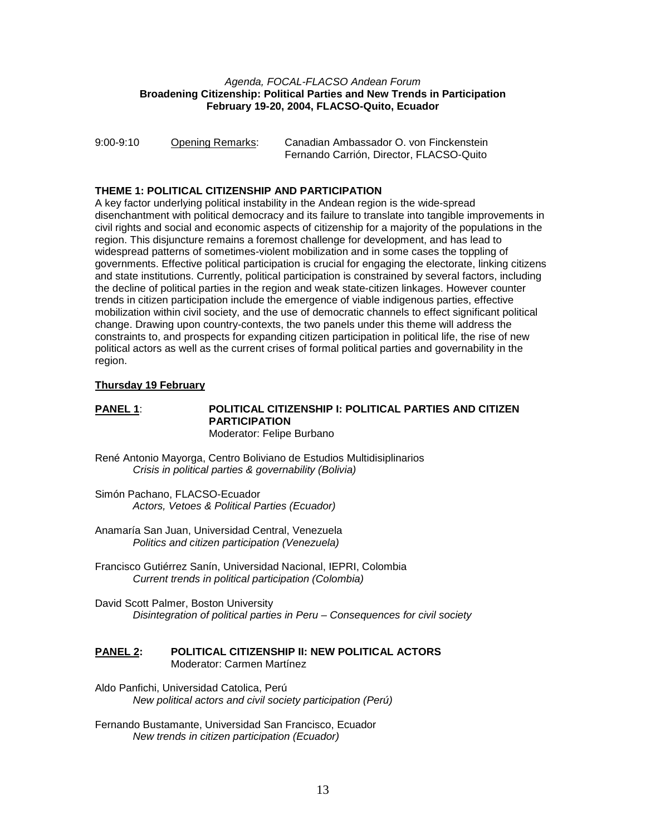#### *Agenda, FOCAL-FLACSO Andean Forum*  **Broadening Citizenship: Political Parties and New Trends in Participation February 19-20, 2004, FLACSO-Quito, Ecuador**

| $9:00-9:10$ | <b>Opening Remarks:</b> | Canadian Ambassador O. von Finckenstein  |
|-------------|-------------------------|------------------------------------------|
|             |                         | Fernando Carrión, Director, FLACSO-Quito |

### **THEME 1: POLITICAL CITIZENSHIP AND PARTICIPATION**

A key factor underlying political instability in the Andean region is the wide-spread disenchantment with political democracy and its failure to translate into tangible improvements in civil rights and social and economic aspects of citizenship for a majority of the populations in the region. This disjuncture remains a foremost challenge for development, and has lead to widespread patterns of sometimes-violent mobilization and in some cases the toppling of governments. Effective political participation is crucial for engaging the electorate, linking citizens and state institutions. Currently, political participation is constrained by several factors, including the decline of political parties in the region and weak state-citizen linkages. However counter trends in citizen participation include the emergence of viable indigenous parties, effective mobilization within civil society, and the use of democratic channels to effect significant political change. Drawing upon country-contexts, the two panels under this theme will address the constraints to, and prospects for expanding citizen participation in political life, the rise of new political actors as well as the current crises of formal political parties and governability in the region.

#### **Thursday 19 February**

#### **PANEL 1**: **POLITICAL CITIZENSHIP I: POLITICAL PARTIES AND CITIZEN PARTICIPATION**  Moderator: Felipe Burbano

- René Antonio Mayorga, Centro Boliviano de Estudios Multidisiplinarios *Crisis in political parties & governability (Bolivia)*
- Simón Pachano, FLACSO-Ecuador *Actors, Vetoes & Political Parties (Ecuador)*
- Anamaría San Juan, Universidad Central, Venezuela *Politics and citizen participation (Venezuela)*
- Francisco Gutiérrez Sanín, Universidad Nacional, IEPRI, Colombia *Current trends in political participation (Colombia)*
- David Scott Palmer, Boston University *Disintegration of political parties in Peru – Consequences for civil society*

### **PANEL 2: POLITICAL CITIZENSHIP II: NEW POLITICAL ACTORS** Moderator: Carmen Martínez

- Aldo Panfichi, Universidad Catolica, Perú *New political actors and civil society participation (Perú)*
- Fernando Bustamante, Universidad San Francisco, Ecuador *New trends in citizen participation (Ecuador)*